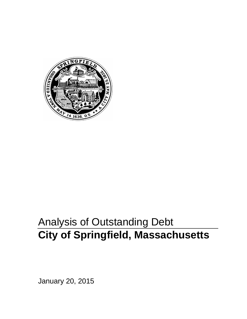

# Analysis of Outstanding Debt **City of Springfield, Massachusetts**

January 20, 2015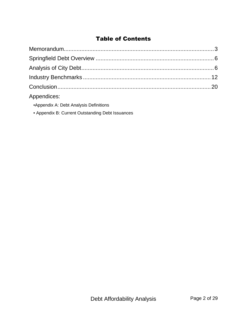## Table of Contents

| Appendices: |  |
|-------------|--|

- •Appendix A: Debt Analysis Definitions
- Appendix B: Current Outstanding Debt Issuances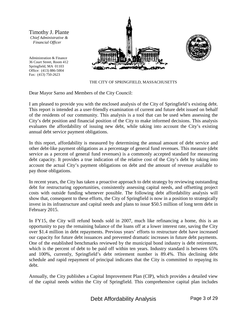Timothy J. Plante *Chief Administrative & Financial Officer*

Administration & Finance 36 Court Street, Room 412 Springfield, MA 01103 Office: (413) 886-5004 Fax: (413) 750-2623





THE CITY OF SPRINGFIELD, MASSACHUSETTS

Dear Mayor Sarno and Members of the City Council:

I am pleased to provide you with the enclosed analysis of the City of Springfield's existing debt. This report is intended as a user-friendly examination of current and future debt issued on behalf of the residents of our community. This analysis is a tool that can be used when assessing the City's debt position and financial position of the City to make informed decisions. This analysis evaluates the affordability of issuing new debt, while taking into account the City's existing annual debt service payment obligations.

In this report, affordability is measured by determining the annual amount of debt service and other debt-like payment obligations as a percentage of general fund revenues. This measure (debt service as a percent of general fund revenues) is a commonly accepted standard for measuring debt capacity. It provides a true indication of the relative cost of the City's debt by taking into account the actual City's payment obligations on debt and the amount of revenue available to pay those obligations.

In recent years, the City has taken a proactive approach to debt strategy by reviewing outstanding debt for restructuring opportunities, consistently assessing capital needs, and offsetting project costs with outside funding whenever possible. The following debt affordability analysis will show that, consequent to these efforts, the City of Springfield is now in a position to strategically invest in its infrastructure and capital needs and plans to issue \$50.5 million of long term debt in February 2015.

In FY15, the City will refund bonds sold in 2007, much like refinancing a home, this is an opportunity to pay the remaining balance of the loans off at a lower interest rate, saving the City over \$1.4 million in debt repayments. Previous years' efforts to restructure debt have increased our capacity for future debt issuances and prevented dramatic increases in future debt payments. One of the established benchmarks reviewed by the municipal bond industry is debt retirement, which is the percent of debt to be paid off within ten years. Industry standard is between 65% and 100%, currently, Springfield's debt retirement number is 89.4%. This declining debt schedule and rapid repayment of principal indicates that the City is committed to repaying its debt.

Annually, the City publishes a Capital Improvement Plan (CIP), which provides a detailed view of the capital needs within the City of Springfield. This comprehensive capital plan includes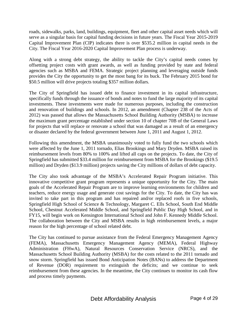roads, sidewalks, parks, land, buildings, equipment, fleet and other capital asset needs which will serve as a singular basis for capital funding decisions in future years. The Fiscal Year 2015-2019 Capital Improvement Plan (CIP) indicates there is over \$535.2 million in capital needs in the City. The Fiscal Year 2016-2020 Capital Improvement Plan process is underway.

Along with a strong debt strategy, the ability to tackle the City's capital needs comes by offsetting project costs with grant awards, as well as funding provided by state and federal agencies such as MSBA and FEMA. Strategic project planning and leveraging outside funds provides the City the opportunity to get the most bang for its buck. The February 2015 bond for \$50.5 million will drive projects totaling \$357 million dollars.

The City of Springfield has issued debt to finance investment in its capital infrastructure, specifically funds through the issuance of bonds and notes to fund the large majority of its capital investments. These investments were made for numerous purposes, including the construction and renovation of buildings and schools. In 2012, an amendment (Chapter 238 of the Acts of 2012) was passed that allows the Massachusetts School Building Authority (MSBA) to increase the maximum grant percentage established under section 10 of chapter 70B of the General Laws for projects that will replace or renovate a school that was damaged as a result of an emergency or disaster declared by the federal government between June 1, 2011 and August 1, 2012.

Following this amendment, the MSBA unanimously voted to fully fund the two schools which were affected by the June 1, 2011 tornado, Elias Brookings and Mary Dryden. MSBA raised its reimbursement levels from 80% to 100% and lifted all caps on the projects. To date, the City of Springfield has submitted \$33.4 million for reimbursement from MSBA for the Brookings (\$19.5 million) and Dryden (\$13.9 million) projects saving the City millions of dollars of debt capacity.

The City also took advantage of the MSBA's Accelerated Repair Program initiative. This innovative competitive grant program represents a unique opportunity for the City. The main goals of the Accelerated Repair Program are to improve learning environments for children and teachers, reduce energy usage and generate cost savings for the City. To date, the City has was invited to take part in this program and has repaired and/or replaced roofs in five schools, Springfield High School of Science & Technology, Margaret C. Ells School, South End Middle School, Chestnut Accelerated Middle School, and Springfield Public Day High School, and in FY15, will begin work on Kensington International School and John F. Kennedy Middle School. The collaboration between the City and MSBA results in high reimbursement levels, a major reason for the high percentage of school related debt.

The City has continued to pursue assistance from the Federal Emergency Management Agency (FEMA), Massachusetts Emergency Management Agency (MEMA), Federal Highway Administration (FHwA), Natural Resources Conservation Service (NRCS), and the Massachusetts School Building Authority (MSBA) for the costs related to the 2011 tornado and snow storm. Springfield has issued Bond Anticipation Notes (BANs) to address the Department of Revenue (DOR) requirement to extinguish the deficits; and we continue to seek reimbursement from these agencies. In the meantime, the City continues to monitor its cash flow and process timely payments.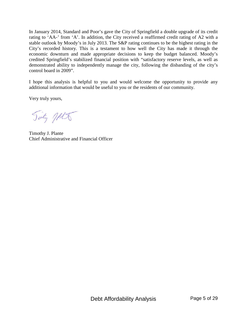In January 2014, Standard and Poor's gave the City of Springfield a double upgrade of its credit rating to 'AA-' from 'A'. In addition, the City received a reaffirmed credit rating of A2 with a stable outlook by Moody's in July 2013. The S&P rating continues to be the highest rating in the City's recorded history. This is a testament to how well the City has made it through the economic downturn and made appropriate decisions to keep the budget balanced. Moody's credited Springfield's stabilized financial position with "satisfactory reserve levels, as well as demonstrated ability to independently manage the city, following the disbanding of the city's control board in 2009".

I hope this analysis is helpful to you and would welcome the opportunity to provide any additional information that would be useful to you or the residents of our community.

Very truly yours,

Tinty Jets

Timothy J. Plante Chief Administrative and Financial Officer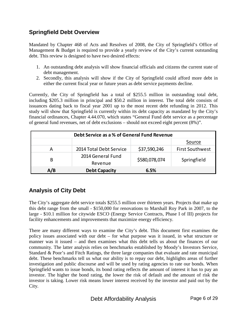## **Springfield Debt Overview**

Mandated by Chapter 468 of Acts and Resolves of 2008, the City of Springfield's Office of Management & Budget is required to provide a yearly review of the City's current outstanding debt. This review is designed to have two desired effects:

- 1. An outstanding debt analysis will show financial officials and citizens the current state of debt management.
- 2. Secondly, this analysis will show if the City of Springfield could afford more debt in either the current fiscal year or future years as debt service payments decline.

Currently, the City of Springfield has a total of \$255.5 million in outstanding total debt, including \$205.3 million in principal and \$50.2 million in interest. The total debt consists of issuances dating back to fiscal year 2001 up to the most recent debt refunding in 2012. This study will show that Springfield is currently within its debt capacity as mandated by the City's financial ordinances, Chapter 4.44.070, which states "General Fund debt service as a percentage of general fund revenues, net of debt exclusions – should not exceed eight percent (8%)".

| Debt Service as a % of General Fund Revenue |                              |               |                        |  |
|---------------------------------------------|------------------------------|---------------|------------------------|--|
| Source                                      |                              |               |                        |  |
| А                                           | 2014 Total Debt Service      | \$37,590,246  | <b>First Southwest</b> |  |
| B                                           | 2014 General Fund<br>Revenue | \$580,078,074 | Springfield            |  |
| A/B                                         | <b>Debt Capacity</b>         | 6.5%          |                        |  |

## **Analysis of City Debt**

The City's aggregate debt service totals \$255.5 million over thirteen years. Projects that make up this debt range from the small - \$150,000 for renovations to Marshall Roy Park in 2007, to the large - \$10.1 million for citywide ESCO (Energy Service Contracts, Phase I of III) projects for facility enhancements and improvements that maximize energy efficiency.

There are many different ways to examine the City's debt. This document first examines the policy issues associated with our debt – for what purpose was it issued, in what structure or manner was it issued – and then examines what this debt tells us about the finances of our community. The latter analysis relies on benchmarks established by Moody's Investors Service, Standard & Poor's and Fitch Ratings, the three large companies that evaluate and rate municipal debt. These benchmarks tell us what our ability is to repay our debt, highlights areas of further investigation and public discourse and will be used by rating agencies to rate our bonds. When Springfield wants to issue bonds, its bond rating reflects the amount of interest it has to pay an investor. The higher the bond rating, the lower the risk of default and the amount of risk the investor is taking. Lower risk means lower interest received by the investor and paid out by the City.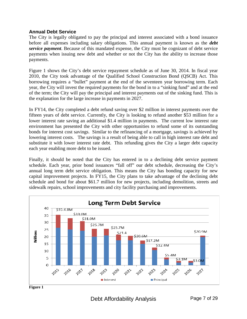#### **Annual Debt Service**

The City is legally obligated to pay the principal and interest associated with a bond issuance before all expenses including salary obligations. This annual payment is known as the *debt service payment*. Because of this mandated expense, the City must be cognizant of debt service payments when issuing new debt and whether or not the City has the ability to increase those payments.

Figure 1 shows the City's debt service repayment schedule as of June 30, 2014. In fiscal year 2010, the City took advantage of the Qualified School Construction Bond (QSCB) Act. This borrowing requires a "bullet" payment at the end of the seventeen year borrowing term. Each year, the City will invest the required payments for the bond in to a "sinking fund" and at the end of the term; the City will pay the principal and interest payments out of the sinking fund. This is the explanation for the large increase in payments in 2027.

In FY14, the City completed a debt refund saving over \$2 million in interest payments over the fifteen years of debt service. Currently, the City is looking to refund another \$53 million for a lower interest rate saving an additional \$1.4 million in payments. The current low interest rate environment has presented the City with other opportunities to refund some of its outstanding bonds for interest cost savings. Similar to the refinancing of a mortgage, savings is achieved by lowering interest costs. The savings is a result of being able to call in high interest rate debt and substitute it with lower interest rate debt. This refunding gives the City a larger debt capacity each year enabling more debt to be issued.

Finally, it should be noted that the City has entered in to a declining debt service payment schedule. Each year, prior bond issuances "fall off" our debt schedule, decreasing the City's annual long term debt service obligation. This means the City has bonding capacity for new capital improvement projects. In FY15, the City plans to take advantage of the declining debt schedule and bond for about \$61.7 million for new projects, including demolition, streets and sidewalk repairs, school improvements and city facility purchasing and improvements.



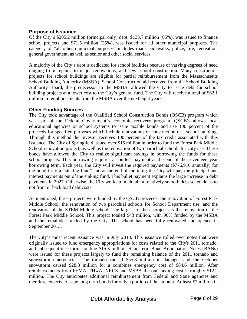#### **Purpose of Issuance**

Of the City's \$205.2 million (principal only) debt, \$133.7 million (65%), was issued to finance school projects and \$71.5 million (35%), was issued for all other municipal purposes. The category of "all other municipal purposes" includes roads, sidewalks, police, fire, recreation, general government, as well as senior and other social services.

A majority of the City's debt is dedicated for school facilities because of varying degrees of need ranging from repairs, to major renovations, and new school construction. Many construction projects for school buildings are eligible for partial reimbursement from the Massachusetts School Building Authority (MSBA). School Construction aid received from the School Building Authority Board, the predecessor to the MSBA, allowed the City to issue debt for school building projects at a lower cost to the City's general fund. The City will receive a total of \$62.1 million in reimbursements from the MSBA over the next eight years.

#### **Other Funding Sources**

The City took advantage of the Qualified School Construction Bonds (QSCB) program which was part of the Federal Government's economic recovery program. QSCB's allows local educational agencies or school systems to issue taxable bonds and use 100 percent of the proceeds for specified purposes which include renovations or construction of a school building. Through this method the investor receives 100 percent of the tax credit associated with this issuance. The City of Springfield issued over \$15 million in order to fund the Forest Park Middle School renovation project, as well as the renovation of two parochial schools for City use. These bonds have allowed the City to realize significant savings in borrowing the funds for these school projects. This borrowing requires a "bullet" payment at the end of the seventeen year borrowing term. Each year, the City will invest the required payments (\$776,910 annually) for the bond in to a "sinking fund" and at the end of the term; the City will pay the principal and interest payments out of the sinking fund. This bullet payment explains the large increase in debt payments in 2027. Otherwise, the City works to maintain a relatively smooth debt schedule as to not front or back load debt costs.

As mentioned, three projects were funded by the QSCB proceeds: the renovation of Forest Park Middle School, the renovation of two parochial schools for School Department use, and the renovation of the STEM Middle school. The largest of these projects is the renovation of the Forest Park Middle School. This project totaled \$43 million, with 90% funded by the MSBA and the remainder funded by the City. The school has been fully renovated and opened in September 2013.

The City's most recent issuance was in July 2013. This issuance rolled over notes that were originally issued to fund emergency appropriations for costs related to the City's 2011 tornado, and subsequent ice storm, totaling \$15.3 million. Short-term Bond Anticipation Notes (BANs) were issued for these projects largely to fund the remaining balance of the 2011 tornado and snowstorm emergencies. The tornado caused \$55.8 million in damages and the October snowstorm caused \$28.8 million for a combines emergency cost of \$84.6 million. After reimbursements from FEMA, FHwA, NRCS and MSBA the outstanding cost is roughly \$12.2 million. The City anticipates additional reimbursement from Federal and State agencies and therefore expects to issue long term bonds for only a portion of the amount. At least \$7 million in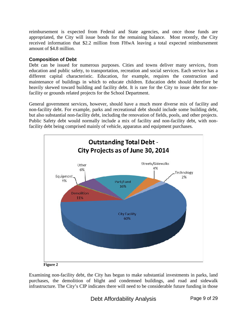reimbursement is expected from Federal and State agencies, and once those funds are appropriated, the City will issue bonds for the remaining balance. Most recently, the City received information that \$2.2 million from FHwA leaving a total expected reimbursement amount of \$4.8 million.

#### **Composition of Debt**

Debt can be issued for numerous purposes. Cities and towns deliver many services, from education and public safety, to transportation, recreation and social services. Each service has a different capital characteristic. Education, for example, requires the construction and maintenance of buildings in which to educate children. Education debt should therefore be heavily skewed toward building and facility debt. It is rare for the City to issue debt for nonfacility or grounds related projects for the School Department.

General government services, however, should have a much more diverse mix of facility and non-facility debt. For example, parks and recreational debt should include some building debt, but also substantial non-facility debt, including the renovation of fields, pools, and other projects. Public Safety debt would normally include a mix of facility and non-facility debt, with nonfacility debt being comprised mainly of vehicle, apparatus and equipment purchases.



**Figure 2** 

Examining non-facility debt, the City has begun to make substantial investments in parks, land purchases, the demolition of blight and condemned buildings, and road and sidewalk infrastructure. The City's CIP indicates there will need to be considerable future funding in those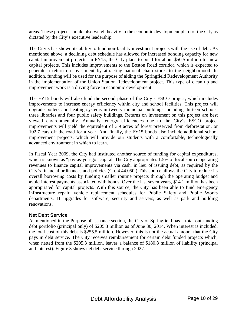areas. These projects should also weigh heavily in the economic development plan for the City as dictated by the City's executive leadership.

The City's has shown its ability to fund non-facility investment projects with the use of debt. As mentioned above, a declining debt schedule has allowed for increased bonding capacity for new capital improvement projects. In FY15, the City plans to bond for about \$50.5 million for new capital projects. This includes improvements to the Boston Road corridor, which is expected to generate a return on investment by attracting national chain stores to the neighborhood. In addition, funding will be used for the purpose of aiding the Springfield Redevelopment Authority in the implementation of the Union Station Redevelopment project. This type of clean up and improvement work is a driving force in economic development.

The FY15 bonds will also fund the second phase of the City's ESCO project, which includes improvements to increase energy efficiency within city and school facilities. This project will upgrade boilers and heating systems in twenty municipal buildings including thirteen schools, three libraries and four public safety buildings. Returns on investment on this project are best viewed environmentally. Annually, energy efficiencies due to the City's ESCO project improvements will yield the equivalent of 3.9 acres of forest preserved from deforestation, or 102.7 cars off the road for a year. And finally, the FY15 bonds also include additional school improvement projects, which will provide our students with a comfortable, technologically advanced environment in which to learn.

In Fiscal Year 2009, the City had instituted another source of funding for capital expenditures, which is known as "pay-as-you-go" capital. The City appropriates 1.5% of local source operating revenues to finance capital improvements via cash, in lieu of issuing debt, as required by the City's financial ordinances and policies (Ch. 4.44.050.) This source allows the City to reduce its overall borrowing costs by funding smaller routine projects through the operating budget and avoid interest payments associated with bonds. Over the last seven years, \$14.1 million has been appropriated for capital projects. With this source, the City has been able to fund emergency infrastructure repair, vehicle replacement schedules for Public Safety and Public Works departments, IT upgrades for software, security and servers, as well as park and building renovations.

#### **Net Debt Service**

As mentioned in the Purpose of Issuance section, the City of Springfield has a total outstanding debt portfolio (principal only) of \$205.3 million as of June 30, 2014. When interest is included, the total cost of this debt is \$255.5 million. However, this is not the actual amount that the City pays in debt service. The City receives reimbursement for certain debt funded projects which, when netted from the \$205.3 million, leaves a balance of \$180.8 million of liability (principal and interest). Figure 3 shows net debt service through 2027.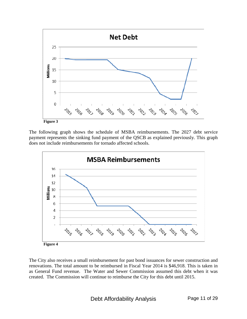

 **Figure 3** 

The following graph shows the schedule of MSBA reimbursements. The 2027 debt service payment represents the sinking fund payment of the QSCB as explained previously. This graph does not include reimbursements for tornado affected schools.



The City also receives a small reimbursement for past bond issuances for sewer construction and renovations. The total amount to be reimbursed in Fiscal Year 2014 is \$46,918. This is taken in as General Fund revenue. The Water and Sewer Commission assumed this debt when it was created. The Commission will continue to reimburse the City for this debt until 2015.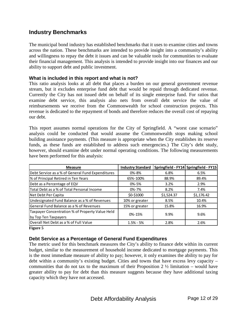### **Industry Benchmarks**

The municipal bond industry has established benchmarks that it uses to examine cities and towns across the nation. These benchmarks are intended to provide insight into a community's ability and willingness to repay the debt it issues and can be valuable tools for communities to evaluate their financial management. This analysis is intended to provide insight into our finances and our ability to support debt and public investment.

#### **What is included in this report and what is not?**

This ratio analysis looks at all debt that places a burden on our general government revenue stream, but it excludes enterprise fund debt that would be repaid through dedicated revenue. Currently the City has not issued debt on behalf of its single enterprise fund. For ratios that examine debt service, this analysis also nets from overall debt service the value of reimbursements we receive from the Commonwealth for school construction projects. This revenue is dedicated to the repayment of bonds and therefore reduces the overall cost of repaying our debt.

This report assumes normal operations for the City of Springfield. A "worst case scenario" analysis could be conducted that would assume the Commonwealth stops making school building assistance payments. (This measure is appropriate when the City establishes its reserve funds, as these funds are established to address such emergencies.) The City's debt study, however, should examine debt under normal operating conditions. The following measurements have been performed for this analysis:

| <b>Measure</b>                                   | <b>Industry Standard</b> |            | Springfield - FY14 Springfield - FY15 |
|--------------------------------------------------|--------------------------|------------|---------------------------------------|
| Debt Service as a % of General Fund Expenditures | 0%-8%                    | 6.8%       | 6.5%                                  |
| % of Principal Retired in Ten Years              | 65%-100%                 | 88.9%      | 89.4%                                 |
| Debt as a Percentage of EQV                      | 0%-5%                    | 3.2%       | 2.9%                                  |
| Total Debt as a % of Total Personal Income       | $0\% - 7\%$              | 8.2%       | 7.4%                                  |
| Net Debt Per Capita                              | \$0-\$1000               | \$1,524.37 | \$1,176.42                            |
| Undesignated Fund Balance as a % of Revenues     | 10% or greater           | 8.5%       | 10.4%                                 |
| General Fund Balance as a % of Revenues          | 15% or greater           | 15.8%      | 16.9%                                 |
| Taxpayer Concentration % of Property Value Held  | 0%-15%                   |            | 9.6%                                  |
| by Top Ten Taxpayers                             |                          | 9.9%       |                                       |
| Overall Net Debt as a % of Full Value            | $1.5% - 5%$              | 2.8%       | 2.6%                                  |

**Figure 5** 

#### **Debt Service as a Percentage of General Fund Expenditures**

The metric used for this benchmark measures the City's ability to finance debt within its current budget, similar to the measurement of household income dedicated to mortgage payments. This is the most immediate measure of ability to pay; however, it only examines the ability to pay for debt within a community's existing budget. Cities and towns that have excess levy capacity – communities that do not tax to the maximum of their Proposition 2  $\frac{1}{2}$  limitation – would have greater ability to pay for debt than this measure suggests because they have additional taxing capacity which they have not accessed.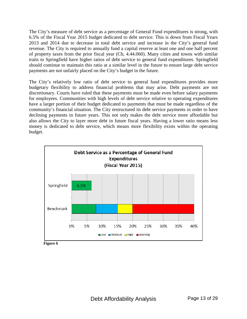The City's measure of debt service as a percentage of General Fund expenditures is strong, with 6.5% of the Fiscal Year 2015 budget dedicated to debt service. This is down from Fiscal Years 2013 and 2014 due to decrease in total debt service and increase in the City's general fund revenue. The City is required to annually fund a capital reserve at least one and one half percent of property taxes from the prior fiscal year (Ch, 4.44.060). Many cities and towns with similar traits to Springfield have higher ratios of debt service to general fund expenditures. Springfield should continue to maintain this ratio at a similar level in the future to ensure large debt service payments are not unfairly placed on the City's budget in the future.

The City's relatively low ratio of debt service to general fund expenditures provides more budgetary flexibility to address financial problems that may arise. Debt payments are not discretionary. Courts have ruled that these payments must be made even before salary payments for employees. Communities with high levels of debt service relative to operating expenditures have a larger portion of their budget dedicated to payments that must be made regardless of the community's financial situation. The City restructured its debt service payments in order to have declining payments in future years. This not only makes the debt service more affordable but also allows the City to layer more debt in future fiscal years. Having a lower ratio means less money is dedicated to debt service, which means more flexibility exists within the operating budget.



**Figure 6**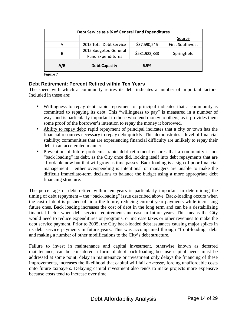| Debt Service as a % of General Fund Expenditures |                                                   |               |                        |
|--------------------------------------------------|---------------------------------------------------|---------------|------------------------|
|                                                  |                                                   |               | Source                 |
| А                                                | 2015 Total Debt Service                           | \$37,590,246  | <b>First Southwest</b> |
| B                                                | 2015 Budgeted General<br><b>Fund Expenditures</b> | \$581,922,838 | Springfield            |
| A/B                                              | <b>Debt Capacity</b>                              | 6.5%          |                        |

**Figure 7** 

#### **Debt Retirement: Percent Retired within Ten Years**

The speed with which a community retires its debt indicates a number of important factors. Included in these are:

- Willingness to repay debt: rapid repayment of principal indicates that a community is committed to repaying its debt. This "willingness to pay" is measured in a number of ways and is particularly important to those who lend money to others, as it provides them some proof of the borrower's intention to repay the money it borrowed.
- Ability to repay debt: rapid repayment of principal indicates that a city or town has the financial resources necessary to repay debt quickly. This demonstrates a level of financial stability; communities that are experiencing financial difficulty are unlikely to repay their debt in an accelerated manner.
- Prevention of future problems: rapid debt retirement ensures that a community is not "back loading" its debt, as the City once did, locking itself into debt repayments that are affordable now but that will grow as time passes. Back loading is a sign of poor financial management – either overspending is intentional or managers are unable to make the difficult immediate-term decisions to balance the budget using a more appropriate debt financing structure.

The percentage of debt retired within ten years is particularly important in determining the timing of debt repayment – the "back-loading" issue described above. Back-loading occurs when the cost of debt is pushed off into the future, reducing current year payments while increasing future ones. Back loading increases the cost of debt in the long term and can be a destabilizing financial factor when debt service requirements increase in future years. This means the City would need to reduce expenditures or programs, or increase taxes or other revenues to make the debt service payment. Prior to 2005, the City back-loaded debt issuances causing major spikes in its debt service payments in future years. This was accompanied through "front-loading" debt and making a number of other modifications to the City's debt structure.

Failure to invest in maintenance and capital investment, otherwise known as deferred maintenance, can be considered a form of debt back-loading because capital needs must be addressed at some point; delay in maintenance or investment only delays the financing of these improvements, increases the likelihood that capital will fail *en masse*, forcing unaffordable costs onto future taxpayers. Delaying capital investment also tends to make projects more expensive because costs tend to increase over time.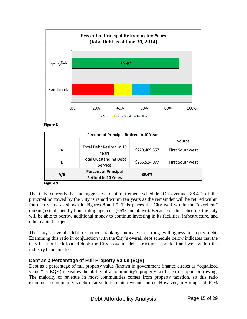

**Figure 8** 

| <b>Percent of Principal Retired in 10 Years</b> |                                                           |               |                        |
|-------------------------------------------------|-----------------------------------------------------------|---------------|------------------------|
|                                                 |                                                           |               | Source                 |
| А                                               | Total Debt Retired in 10<br>Years                         | \$228,409,357 | <b>First Southwest</b> |
| B                                               | <b>Total Outstanding Debt</b><br>Service                  | \$255,524,977 | <b>First Southwest</b> |
| A/B                                             | <b>Percent of Principal</b><br><b>Retired in 10 Years</b> | 89.4%         |                        |
| Б'ание О                                        |                                                           |               |                        |

**Figure 9**

The City currently has an aggressive debt retirement schedule. On average, 88.4% of the principal borrowed by the City is repaid within ten years as the remainder will be retired within fourteen years, as shown in Figures 8 and 9. This places the City well within the "excellent" ranking established by bond rating agencies (65% and above). Because of this schedule, the City will be able to borrow additional money to continue investing in its facilities, infrastructure, and other capital projects.

The City's overall debt retirement ranking indicates a strong willingness to repay debt. Examining this ratio in conjunction with the City's overall debt schedule below indicates that the City has not back loaded debt; the City's overall debt structure is prudent and well within the industry benchmarks.

#### **Debt as a Percentage of Full Property Value (EQV)**

Debt as a percentage of full property value (known in government finance circles as "equalized value," or EQV) measures the ability of a community's property tax base to support borrowing. The majority of revenue in most communities comes from property taxation, so this ratio examines a community's debt relative to its main revenue source. However, in Springfield, 62%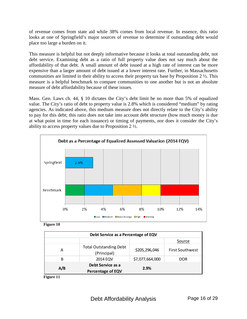of revenue comes from state aid while 38% comes from local revenue. In essence, this ratio looks at one of Springfield's major sources of revenue to determine if outstanding debt would place too large a burden on it.

This measure is helpful but not deeply informative because it looks at total outstanding debt, not debt service. Examining debt as a ratio of full property value does not say much about the affordability of that debt. A small amount of debt issued at a high rate of interest can be more expensive than a larger amount of debt issued at a lower interest rate. Further, in Massachusetts communities are limited in their ability to access their property tax base by Proposition 2 ½. This measure is a helpful benchmark to compare communities to one another but is not an absolute measure of debt affordability because of these issues.

Mass. Gen. Laws ch. 44, § 10 dictates the City's debt limit be no more than 5% of equalized value. The City's ratio of debt to property value is 2.8% which is considered "medium" by rating agencies. As indicated above, this medium measure does not directly relate to the City's ability to pay for this debt; this ratio does not take into account debt structure (how much money is due at what point in time for each issuance) or timing of payments, nor does it consider the City's ability to access property values due to Proposition 2 ½.



**Figure 10** 

| Debt Service as a Percentage of EQV                          |                                              |                 |                        |
|--------------------------------------------------------------|----------------------------------------------|-----------------|------------------------|
|                                                              |                                              |                 | Source                 |
| Α                                                            | <b>Total Outstanding Debt</b><br>(Principal) | \$205,296,046   | <b>First Southwest</b> |
| B                                                            | 2014 EQV                                     | \$7,077,664,000 | <b>DOR</b>             |
| Debt Service as a<br>A/B<br>2.9%<br><b>Percentage of EQV</b> |                                              |                 |                        |

**Figure 11**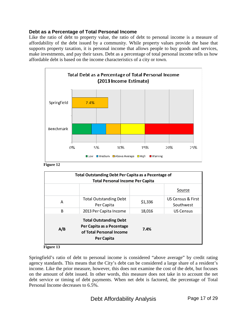#### **Debt as a Percentage of Total Personal Income**

Like the ratio of debt to property value, the ratio of debt to personal income is a measure of affordability of the debt issued by a community. While property values provide the base that supports property taxation, it is personal income that allows people to buy goods and services, make investments, and pay their taxes. Debt as a percentage of total personal income tells us how affordable debt is based on the income characteristics of a city or town.



**Figure 12** 

| Total Outstanding Debt Per Capita as a Pecentage of<br><b>Total Personal Income Per Capita</b> |                                                                                                      |         |                                           |
|------------------------------------------------------------------------------------------------|------------------------------------------------------------------------------------------------------|---------|-------------------------------------------|
|                                                                                                |                                                                                                      |         | Source                                    |
| A                                                                                              | <b>Total Outstanding Debt</b><br>Per Capita                                                          | \$1,336 | <b>US Census &amp; First</b><br>Southwest |
| B                                                                                              | 2013 Per Capita Income                                                                               | 18,016  | <b>US Census</b>                          |
| A/B                                                                                            | <b>Total Outstanding Debt</b><br>Per Capita as a Pecentage<br>of Total Personal Income<br>Per Capita | 7.4%    |                                           |

**Figure 13** 

Springfield's ratio of debt to personal income is considered "above average" by credit rating agency standards. This means that the City's debt can be considered a large share of a resident's income. Like the prior measure, however, this does not examine the cost of the debt, but focuses on the amount of debt issued. In other words, this measure does not take in to account the net debt service or timing of debt payments. When net debt is factored, the percentage of Total Personal Income decreases to 6.5%.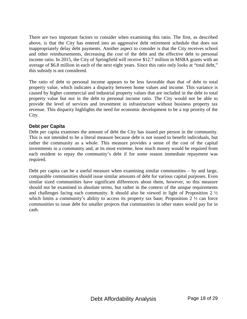There are two important factors to consider when examining this ratio. The first, as described above, is that the City has entered into an aggressive debt retirement schedule that does not inappropriately delay debt payments. Another aspect to consider is that the City receives school and other reimbursements, decreasing the cost of the debt and the effective debt to personal income ratio. In 2015, the City of Springfield will receive \$12.7 million in MSBA grants with an average of \$6.8 million in each of the next eight years. Since this ratio only looks at "total debt," this subsidy is not considered.

The ratio of debt to personal income appears to be less favorable than that of debt to total property value, which indicates a disparity between home values and income. This variance is caused by higher commercial and industrial property values that are included in the debt to total property value but not in the debt to personal income ratio. The City would not be able to provide the level of services and investment in infrastructure without business property tax revenue. This disparity highlights the need for economic development to be a top priority of the City.

#### **Debt per Capita**

Debt per capita examines the amount of debt the City has issued per person in the community. This is not intended to be a literal measure because debt is not issued to benefit individuals, but rather the community as a whole. This measure provides a sense of the cost of the capital investments in a community and, at its most extreme, how much money would be required from each resident to repay the community's debt if for some reason immediate repayment was required.

Debt per capita can be a useful measure when examining similar communities – by and large, comparable communities should issue similar amounts of debt for various capital purposes. Even similar sized communities have significant differences about them, however, so this measure should not be examined in absolute terms, but rather in the context of the unique requirements and challenges facing each community. It should also be viewed in light of Proposition 2 ½ which limits a community's ability to access its property tax base; Proposition  $2 \frac{1}{2}$  can force communities to issue debt for smaller projects that communities in other states would pay for in cash.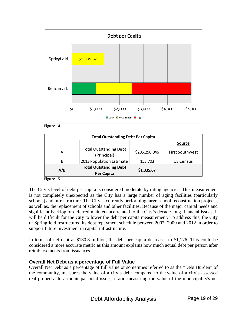



| <b>Total Outstanding Debt Per Capita</b> |                                                    |               |                        |
|------------------------------------------|----------------------------------------------------|---------------|------------------------|
|                                          |                                                    |               | Source                 |
| А                                        | <b>Total Outstanding Debt</b><br>(Principal)       | \$205,296,046 | <b>First Southwest</b> |
| B                                        | 2013 Population Estimate                           | 153,703       | <b>US Census</b>       |
| A/B                                      | <b>Total Outstanding Debt</b><br><b>Per Capita</b> | \$1,335.67    |                        |

**Figure 15** 

The City's level of debt per capita is considered moderate by rating agencies. This measurement is not completely unexpected as the City has a large number of aging facilities (particularly schools) and infrastructure. The City is currently performing large school reconstruction projects, as well as, the replacement of schools and other facilities. Because of the major capital needs and significant backlog of deferred maintenance related to the City's decade long financial issues, it will be difficult for the City to lower the debt per capita measurement. To address this, the City of Springfield restructured its debt repayment schedule between 2007, 2009 and 2012 in order to support future investment in capital infrastructure.

In terms of net debt at \$180.8 million, the debt per capita decreases to \$1,176. This could be considered a more accurate metric as this amount explains how much actual debt per person after reimbursements from issuances.

### **Overall Net Debt as a percentage of Full Value**

Overall Net Debt as a percentage of full value or sometimes referred to as the "Debt Burden" of the community, measures the value of a city's debt compared to the value of a city's assessed real property. In a municipal bond issue, a ratio measuring the value of the municipality's net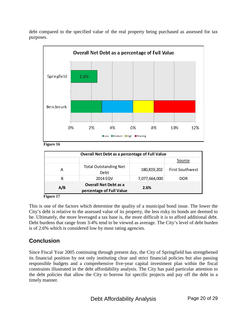debt compared to the specified value of the real property being purchased as assessed for tax purposes.



**Figure 16** 

| Overall Net Debt as a percentage of Full Value |                                                          |               |                        |
|------------------------------------------------|----------------------------------------------------------|---------------|------------------------|
|                                                |                                                          |               | Source                 |
| А                                              | <b>Total Outstanding Net</b><br>Debt                     | 180,819,202   | <b>First Southwest</b> |
| B                                              | 2014 EQV                                                 | 7,077,664,000 | DOR.                   |
| A/B                                            | <b>Overall Net Debt as a</b><br>percentage of Full Value | 2.6%          |                        |

**Figure 17** 

This is one of the factors which determine the quality of a municipal bond issue. The lower the City's debt is relative to the assessed value of its property, the less risky its bonds are deemed to be. Ultimately, the more leveraged a tax base is, the more difficult it is to afford additional debt. Debt burdens that range from 3-4% tend to be viewed as average. The City's level of debt burden is of 2.6% which is considered low by most rating agencies.

## **Conclusion**

Since Fiscal Year 2005 continuing through present day, the City of Springfield has strengthened its financial position by not only instituting clear and strict financial policies but also passing responsible budgets and a comprehensive five-year capital investment plan within the fiscal constraints illustrated in the debt affordability analysis. The City has paid particular attention to the debt policies that allow the City to borrow for specific projects and pay off the debt in a timely manner.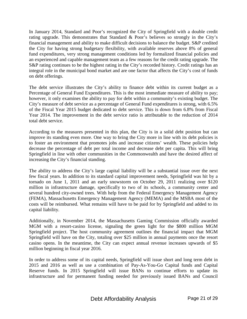In January 2014, Standard and Poor's recognized the City of Springfield with a double credit rating upgrade. This demonstrates that Standard & Poor's believes so strongly in the City's financial management and ability to make difficult decisions to balance the budget. S&P credited the City for having strong budgetary flexibility, with available reserves above 8% of general fund expenditures, very strong management conditions led by formalized financial policies and an experienced and capable management team as a few reasons for the credit rating upgrade. The S&P rating continues to be the highest rating in the City's recorded history. Credit ratings has an integral role in the municipal bond market and are one factor that affects the City's cost of funds on debt offerings.

The debt service illustrates the City's ability to finance debt within its current budget as a Percentage of General Fund Expenditures. This is the most immediate measure of ability to pay; however, it only examines the ability to pay for debt within a community's existing budget. The City's measure of debt service as a percentage of General Fund expenditures is strong, with 6.5% of the Fiscal Year 2015 budget dedicated to debt service. This is down from 6.8% from Fiscal Year 2014. The improvement in the debt service ratio is attributable to the reduction of 2014 total debt service.

According to the measures presented in this plan, the City is in a solid debt position but can improve its standing even more. One way to bring the City more in line with its debt policies is to foster an environment that promotes jobs and increase citizens' wealth. These policies help decrease the percentage of debt per total income and decrease debt per capita. This will bring Springfield in line with other communities in the Commonwealth and have the desired affect of increasing the City's financial standing.

The ability to address the City's large capital liability will be a substantial issue over the next few fiscal years. In addition to its standard capital improvement needs, Springfield was hit by a tornado on June 1, 2011 and an early snowstorm on October 29, 2011 realizing over \$120 million in infrastructure damage, specifically to two of its schools, a community center and several hundred city-owned trees. With help from the Federal Emergency Management Agency (FEMA), Massachusetts Emergency Management Agency (MEMA) and the MSBA most of the costs will be reimbursed. What remains will have to be paid for by Springfield and added to its capital liability.

Additionally, in November 2014, the Massachusetts Gaming Commission officially awarded MGM with a resort-casino license, signaling the green light for the \$800 million MGM Springfield project. The host community agreement outlines the financial impact that MGM Springfield will have on the City, totaling over \$25 million in annual payments once the resort casino opens. In the meantime, the City can expect annual revenue increases upwards of \$5 million beginning in fiscal year 2016.

In order to address some of its capital needs, Springfield will issue short and long term debt in 2015 and 2016 as well as use a combination of Pay-As-You-Go Capital funds and Capital Reserve funds. In 2015 Springfield will issue BANs to continue efforts to update its infrastructure and for permanent funding needed for previously issued BANs and Council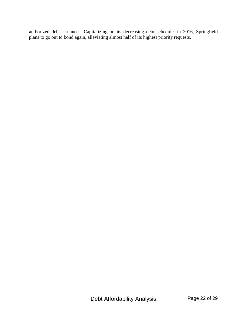authorized debt issuances. Capitalizing on its decreasing debt schedule, in 2016, Springfield plans to go out to bond again, alleviating almost half of its highest priority requests.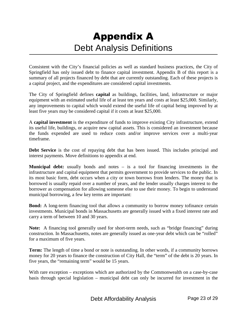# Appendix A Debt Analysis Definitions

Consistent with the City's financial policies as well as standard business practices, the City of Springfield has only issued debt to finance capital investment. Appendix B of this report is a summary of all projects financed by debt that are currently outstanding. Each of these projects is a capital project, and the expenditures are considered capital investments.

The City of Springfield defines **capital** as buildings, facilities, land, infrastructure or major equipment with an estimated useful life of at least ten years and costs at least \$25,000. Similarly, any improvements to capital which would extend the useful life of capital being improved by at least five years may be considered capital if it costs at least \$25,000.

A **capital investment** is the expenditure of funds to improve existing City infrastructure, extend its useful life, buildings, or acquire new capital assets. This is considered an investment because the funds expended are used to reduce costs and/or improve services over a multi-year timeframe.

**Debt Service** is the cost of repaying debt that has been issued. This includes principal and interest payments. Move definitions to appendix at end.

**Municipal debt:** usually bonds and notes – is a tool for financing investments in the infrastructure and capital equipment that permits government to provide services to the public. In its most basic form, debt occurs when a city or town borrows from lenders. The money that is borrowed is usually repaid over a number of years, and the lender usually charges interest to the borrower as compensation for allowing someone else to use their money. To begin to understand municipal borrowing, a few key terms are important:

**Bond:** A long-term financing tool that allows a community to borrow money tofinance certain investments. Municipal bonds in Massachusetts are generally issued with a fixed interest rate and carry a term of between 10 and 30 years.

**Note:** A financing tool generally used for short-term needs, such as "bridge financing" during construction. In Massachusetts, notes are generally issued as one-year debt which can be "rolled" for a maximum of five years.

**Term:** The length of time a bond or note is outstanding. In other words, if a community borrows money for 20 years to finance the construction of City Hall, the "term" of the debt is 20 years. In five years, the "remaining term" would be 15 years.

With rare exception – exceptions which are authorized by the Commonwealth on a case-by-case basis through special legislation – municipal debt can only be incurred for investment in the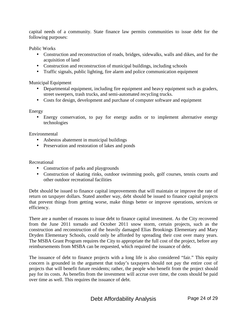capital needs of a community. State finance law permits communities to issue debt for the following purposes:

Public Works

- Construction and reconstruction of roads, bridges, sidewalks, walls and dikes, and for the acquisition of land
- Construction and reconstruction of municipal buildings, including schools
- Traffic signals, public lighting, fire alarm and police communication equipment

Municipal Equipment

- Departmental equipment, including fire equipment and heavy equipment such as graders, street sweepers, trash trucks, and semi-automated recycling trucks.
- Costs for design, development and purchase of computer software and equipment

#### Energy

• Energy conservation, to pay for energy audits or to implement alternative energy technologies

Environmental

- Asbestos abatement in municipal buildings
- Preservation and restoration of lakes and ponds

Recreational

- Construction of parks and playgrounds
- Construction of skating rinks, outdoor swimming pools, golf courses, tennis courts and other outdoor recreational facilities

Debt should be issued to finance capital improvements that will maintain or improve the rate of return on taxpayer dollars. Stated another way, debt should be issued to finance capital projects that prevent things from getting worse, make things better or improve operations, services or efficiency.

There are a number of reasons to issue debt to finance capital investment. As the City recovered from the June 2011 tornado and October 2011 snow storm, certain projects, such as the construction and reconstruction of the heavily damaged Elias Brookings Elementary and Mary Dryden Elementary Schools, could only be afforded by spreading their cost over many years. The MSBA Grant Program requires the City to appropriate the full cost of the project, before any reimbursements from MSBA can be requested, which required the issuance of debt.

The issuance of debt to finance projects with a long life is also considered "fair." This equity concern is grounded in the argument that today's taxpayers should not pay the entire cost of projects that will benefit future residents; rather, the people who benefit from the project should pay for its costs. As benefits from the investment will accrue over time, the costs should be paid over time as well. This requires the issuance of debt.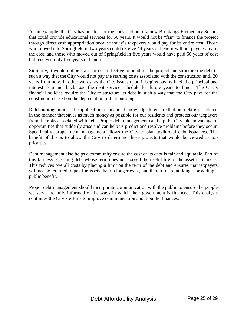As an example, the City has bonded for the construction of a new Brookings Elementary School that could provide educational services for 50 years. It would not be "fair" to finance the project through direct cash appropriation because today's taxpayers would pay for its entire cost. Those who moved into Springfield in two years could receive 48 years of benefit without paying any of the cost, and those who moved out of Springfield in five years would have paid 50 years of cost but received only five years of benefit.

Similarly, it would not be "fair" or cost effective to bond for the project and structure the debt in such a way that the City would not pay the starting costs associated with the construction until 20 years from now. In other words, as the City issues debt, it begins paying back the principal and interest as to not back load the debt service schedule for future years to fund. The City's financial policies require the City to structure its debt in such a way that the City pays for the construction based on the depreciation of that building.

**Debt management** is the application of financial knowledge to ensure that our debt is structured in the manner that saves as much money as possible for our residents and protects our taxpayers from the risks associated with debt. Proper debt management can help the City take advantage of opportunities that suddenly arise and can help us predict and resolve problems before they occur. Specifically, proper debt management allows the City to plan additional debt issuances. The benefit of this is to allow the City to determine those projects that would be viewed as top priorities.

Debt management also helps a community ensure the cost of its debt is fair and equitable. Part of this fairness is issuing debt whose term does not exceed the useful life of the asset it finances. This reduces overall costs by placing a limit on the term of the debt and ensures that taxpayers will not be required to pay for assets that no longer exist, and therefore are no longer providing a public benefit.

Proper debt management should incorporate communication with the public to ensure the people we serve are fully informed of the ways in which their government is financed. This analysis continues the City's efforts to improve communication about public finances.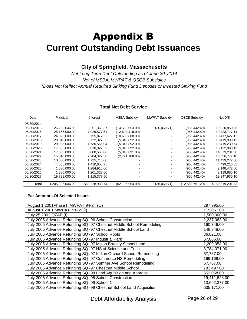## Appendix B **Current Outstanding Debt Issuances**

### **City of Springfield, Massachusetts**

Net Long-Term Debt Outstanding as of June 30, 2014 Net of MSBA, MWPAT & QSCB Subsidies \*Does Not Reflect Annual Required Sinking Fund Deposits or Invested Sinking Fund

#### **Total Net Debt Service**

| Date       | Principal        | <b>Interest</b> | <b>MSBA Subsidy</b> | <b>MWPAT Subsidy</b> | <b>QSCB Subsidy</b> | Net D/S          |
|------------|------------------|-----------------|---------------------|----------------------|---------------------|------------------|
| 06/30/2014 |                  |                 |                     |                      |                     |                  |
| 06/30/2015 | 26.232.046.00    | 9,251,369.37    | (14,560,053.00)     | (36,069.71)          | (966, 442.40)       | 19,920,850.26    |
| 06/30/2016 | 25,155,000.00    | 7.929.577.51    | (12,694,418.00)     |                      | (966,442.40)        | 19,423,717.11    |
| 06/30/2017 | 24,325,000.00    | 6.755.877.52    | (10,696,808.00)     |                      | (966,442.40)        | 19,417,627.12    |
| 06/30/2018 | 20.010.000.00    | 5,722,327.53    | (5,345,892.00)      |                      | (966,442.40)        | 19,419,993.13    |
| 06/30/2019 | 20.995.000.00    | 4,736,565.04    | (5,345,892.00)      |                      | (966,442.40)        | 19,419,230.64    |
| 06/30/2020 | 17,635,000.00    | 3,810,327.52    | (5,345,892.00)      |                      | (966,442.40)        | 15,132,993.12    |
| 06/30/2021 | 17.685.000.00    | 3,000,565.00    | (5,345,891.00)      |                      | (966,442.40)        | 14,373,231.60    |
| 06/30/2022 | 15.010.000.00    | 2,284,327.50    | (2,771,108.00)      |                      | (966,442.40)        | 13,556,777.10    |
| 06/30/2023 | 10,680,000.00    | 1.725.715.00    |                     |                      | (966,442.40)        | 11,439,272.60    |
| 06/30/2024 | 4.055.000.00     | 1.410.658.75    |                     |                      | (966,442.40)        | 4.499.216.35     |
| 06/30/2025 | 1.830.000.00     | 1.284.915.00    |                     |                      | (966,442.40)        | 2,148,472.60     |
| 06/30/2026 | 1.885.000.00     | 1.201.327.50    |                     |                      | (966,442.40)        | 2,119,885.10     |
| 06/30/2027 | 19.799.000.00    | 1.115.377.50    |                     |                      | (966.442.40)        | 19,947,935.10    |
| Total      | \$205,296,046.00 | \$50,228,930.74 | (62, 105, 954.00)   | (36,069.71)          | (12,563,751.20)     | \$180,819,201.83 |

#### **Par Amounts Of Selected Issues**

| August 1 2001 Phase I MWPAT 94-24 (O)                                | 297,995.00    |
|----------------------------------------------------------------------|---------------|
| August 1 2001 MWPAT 91-59 (I)                                        | 119,051.00    |
| July 25 2002 QZAB (I)                                                | 1,500,000.00  |
| July 2005 Advance Refunding SQ -96 School Construction               | 1,237,083.00  |
| July 2005 Advance Refunding SQ -97 Chestnut Middle School Remodeling | 160,346.00    |
| July 2005 Advance Refunding SQ -97 Chestnut Middle School Land       | 148,348.00    |
| July 2005 Advance Refunding SQ -97 School Roofs                      | 86,821.00     |
| July 2005 Advance Refunding SQ -97 Industrial Park                   | 57,866.00     |
| July 2005 Advance Refunding SQ -97 Milton Bradley School Land        | 1,209,058.00  |
| July 2005 Advance Refunding SQ -97 HS of Science and Tech            | 3,784,071.00  |
| July 2005 Advance Refunding SQ -97 Indian Orchard School Remodeling  | 67,767.00     |
| July 2005 Advance Refunding SQ -97 Commerce HS Remodeling            | 169,169.00    |
| July 2005 Advance Refunding SQ -97 Sumner Ave School Remodeling      | 67,767.00     |
| July 2005 Advance Refunding SQ -97 Chestnut Middle School            | 783,497.00    |
| July 2005 Advance Refunding SQ -98 Land Aquisition and Appraisal     | 652,058.00    |
| July 2005 Advance Refunding SQ -98 School Construction               | 19,411,828.00 |
| July 2005 Advance Refunding SQ -99 School 1                          | 13,692,377.00 |
| July 2005 Advance Refunding SQ -99 Chestnut School Land Acquisition  | 635,171.00    |

Debt Affordability Analysis Page 26 of 29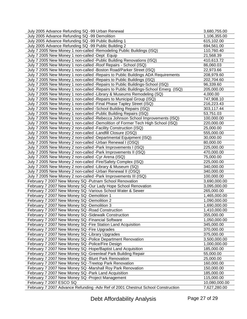| July 2005 Advance Refunding SQ -99 Urban Renewal                                   | 3,680,755.00  |
|------------------------------------------------------------------------------------|---------------|
| July 2005 Advance Refunding SQ -99 Demolition                                      | 1,106,355.00  |
| July 2005 Advance Refunding SQ -99 Public Building 1                               | 615,102.00    |
| July 2005 Advance Refunding SQ -99 Public Building 2                               | 694,561.00    |
| July 7 2005 New Money 1 non-called -Remodeling Public Buildings (ISQ)              | 110,760.40    |
| July 7 2005 New Money 1 non-called -Dept Equip                                     | 21,568.39     |
| July 7 2005 New Money 1 non-called -Public Building Renovations (ISQ)              | 410,613.72    |
| July 7 2005 New Money 1 non-called -Roof Repairs - School (ISQ)                    | 86,060.03     |
| July 7 2005 New Money 1 non-called -Boston Road/Parker Street (ISQ)                | 22,973.66     |
| July 7 2005 New Money 1 non-called -Repairs to Public Buildings ADA Requirements   | 208,979.60    |
| July 7 2005 New Money 1 non-called -Repairs to Public Buildings (ISQ)              | 202,704.60    |
| July 7 2005 New Money 1 non-called - Repairs to Public Buildings-School (ISQ)      | 96,339.60     |
| July 7 2005 New Money 1 non-called -Repairs to Public Buildings-School Emerg (ISQ) | 205,000.00    |
| July 7 2005 New Money 1 non-called -Library & Museums Remodeling (SQ)              | 4,000.00      |
| July 7 2005 New Money 1 non-called - Repairs to Municipal Group (ISQ)              | 747,908.10    |
| July 7 2005 New Money 1 non-called - Final Phase Tapley Street (ISQ)               | 216,223.43    |
| July 7 2005 New Money 1 non-called -School Building Repairs (ISQ)                  | 303,117.44    |
| July 7 2005 New Money 1 non-called -Public Building Repairs (ISQ)                  | 53,751.03     |
| July 7 2005 New Money 1 non-called -Rebecca Johnson School Improvements (ISQ)      | 100,000.00    |
| July 7 2005 New Money 1 non-called -Demolition of Former Tech High School (ISQ)    | 220,000.00    |
| July 7 2005 New Money 2 non-called -Facility Construction (ISQ)                    | 25,000.00     |
| July 7 2005 New Money 2 non-called -Landfill Closure (OSQ)                         | 555,000.00    |
| July 7 2005 New Money 2 non-called -Departmental Equipment (ISQ)                   | 30,000.00     |
| July 7 2005 New Money 2 non-called -Urban Renewal I (OSQ)                          | 80,000.00     |
| July 7 2005 New Money 2 non-called -Park Improvements I (ISQ)                      | 225,000.00    |
| July 7 2005 New Money 2 non-called -Park Improvements II (ISQ)                     | 470,000.00    |
| July 7 2005 New Money 2 non-called -Cyr Arena (ISQ)                                | 75,000.00     |
| July 7 2005 New Money 2 non-called -Fire/Safety Complex (ISQ)                      | 225,000.00    |
| July 7 2005 New Money 2 non-called -Library & Museum (SQ)                          | 340,000.00    |
| July 7 2005 New Money 2 non-called -Urban Renewal II (OSQ)                         | 340,000.00    |
| July 7 2005 New Money 2 non-called -Park Improvements III (ISQ)                    | 100,000.00    |
| February 7 2007 New Money SQ -Putnam School Renovation                             | 3,690,000.00  |
| February 7 2007 New Money SQ -Our Lady Hope School Renovation                      | 3,095,000.00  |
| February 7 2007 New Money SQ - Various School Water & Sewer                        | 265,000.00    |
| February 7 2007 New Money SQ -Demolition 1                                         | 1,465,000.00  |
| February 7 2007 New Money SQ -Demolition 2                                         | 1,090,000.00  |
| February 7 2007 New Money SQ -Demolition 3                                         | 1,690,000.00  |
| February 7 2007 New Money SQ -Road Construction                                    | 1,410,000.00  |
| February 7 2007 New Money SQ -Sidewalk Construction                                | 355,000.00    |
| February 7 2007 New Money SQ - Financial Software                                  | 1,050,000.00  |
| February 7 2007 New Money SQ - Fire Station Land Acquisition                       | 345,000.00    |
| February 7 2007 New Money SQ - Fire Upgrades                                       | 370,000.00    |
| February 7 2007 New Money SQ - Library Upgrades                                    | 375,000.00    |
| February 7 2007 New Money SQ -Police Department Renovation                         | 3,500,000.00  |
| February 7 2007 New Money SQ -Police/Fire Design                                   | 1,000,000.00  |
| February 7 2007 New Money SQ -Hope/Baptist Land Acquisition                        | 185,000.00    |
| February 7 2007 New Money SQ - Greenleaf Park Building Repair                      | 55,000.00     |
| February 7 2007 New Money SQ - Blunt Park Renovation                               | 25,000.00     |
| February 7 2007 New Money SQ - Treetop Park Renovation                             | 160,000.00    |
| February 7 2007 New Money SQ -Marshall Roy Park Renovation                         | 150,000.00    |
| February 7 2007 New Money SQ -Park Land Acquisition                                | 185,000.00    |
| February 7 2007 New Money SQ - Project Management                                  | 115,000.00    |
| February 7 2007 ESCO SQ                                                            | 10,080,000.00 |
| February 7 2007 Advance Refunding - Adv Ref of 2001 Chestnut School Construction   | 7,627,280.00  |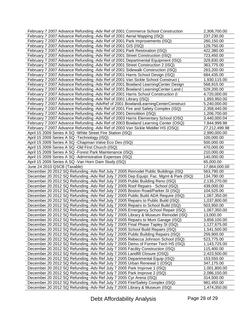| February 7 2007 Advance Refunding - Adv Ref of 2001 Commerce School Construction                                                                            | 2,308,700.00               |
|-------------------------------------------------------------------------------------------------------------------------------------------------------------|----------------------------|
| February 7 2007 Advance Refunding - Adv Ref of 2001 Aerial Mapping (ISQ)                                                                                    | 237,230.00                 |
| February 7 2007 Advance Refunding - Adv Ref of 2001 Park Improvements (ISQ)                                                                                 | 260,150.00                 |
| February 7 2007 Advance Refunding - Adv Ref of 2001 GIS (ISQ)                                                                                               | 129,750.00                 |
| February 7 2007 Advance Refunding - Adv Ref of 2001 Park Restoration (ISQ)                                                                                  | 422,380.00                 |
| February 7 2007 Advance Refunding - Adv Ref of 2001 Street Construction (ISQ)                                                                               | 723,450.00                 |
| February 7 2007 Advance Refunding - Adv Ref of 2001 Departmental Equipment (ISQ)                                                                            | 329,830.00                 |
| February 7 2007 Advance Refunding - Adv Ref of 2001 Street Construction 2 (ISQ)                                                                             | 363,775.00                 |
| February 7 2007 Advance Refunding - Adv Ref of 2001 Sidewalk Construction (ISQ)                                                                             | 263,200.00                 |
| February 7 2007 Advance Refunding - Adv Ref of 2001 Harris School Design (ISQ)                                                                              | 684,435.00                 |
| February 7 2007 Advance Refunding -Adv Ref of 2001 Van Sickle School Construct (                                                                            | 1,930,115.00               |
| February 7 2007 Advance Refunding - Adv Ref of 2001 Bowland LearningCenter Design                                                                           | 568,915.00                 |
| February 7 2007 Advance Refunding - Adv Ref of 2001 Bowland Learning Center Land (                                                                          | 529,200.00                 |
| February 7 2007 Advance Refunding - Adv Ref of 2001 Harris School Construction (I                                                                           | 4,720,000.00               |
| February 7 2007 Advance Refunding -Adv Ref of 2001 Library (ISQ)                                                                                            | 1,893,950.00               |
| February 7 2007 Advance Refunding - AdvRef of 2001 Bowland Learning Center Construct                                                                        | 5,240,000.00               |
| February 7 2007 Advance Refunding - Adv Ref of 2001 Fire and Safety Complex (ISQ)                                                                           | 2,358,440.00               |
| February 7 2007 Advance Refunding - Adv Ref of 2001 Demolition (ISQ)                                                                                        | 1,206,700.00               |
| February 7 2007 Advance Refunding - Adv Ref of 2003 Harris Elementary School (OSQ                                                                           | 3,440,000.04               |
| February 7 2007 Advance Refunding - Adv Ref of 2003 Bowland Learning Center (OSQ)                                                                           | 7,844,999.98               |
| February 7 2007 Advance Refunding - Adv Ref of 2003 Van Sickle Middle/ HS (OSQ)                                                                             | 27,212,499.98              |
| April 15 2009 Series A SQ -White Street Fire Station (ISQ)                                                                                                  | 2,990,000.00               |
| April 15 2009 Series A SQ -Technology (ISQ)                                                                                                                 | 100,000.00                 |
| April 15 2009 Series A SQ - Chapman Valve Eco Dev (ISQ)                                                                                                     | 500,000.00                 |
| April 15 2009 Series A SQ -Old First Church (ISQ)                                                                                                           | 470,000.00                 |
| April 15 2009 Series A SQ -Forest Park Maintenance (ISQ)                                                                                                    | 210,000.00                 |
| April 15 2009 Series A SQ -Administrative Expenses (ISQ)                                                                                                    | 140,000.00                 |
|                                                                                                                                                             |                            |
| April 15 2009 Series A SQ - Van Horn Dam Study (ISQ)                                                                                                        | 65,000.00                  |
| June 24 2010 QSCB (Taxable)                                                                                                                                 | 17,864,000.00              |
| December 20 2012 SQ Refunding - Adv Ref July 7 2005 Remodel Public Buildings (ISQ                                                                           | 563,790.00                 |
| December 20 2012 SQ Refunding - Adv Ref July 7 2005 Dep Equipt. Fac. Mgmt & Park (ISQ)                                                                      | 134,790.00                 |
| December 20 2012 SQ Refunding - Adv Ref July 7 2005 Public Building Reno (ISQ)                                                                              | 2,135,270.00               |
| December 20 2012 SQ Refunding - Adv Ref July 7 2005 Roof Repairs - School (ISQ)                                                                             | 439,000.00                 |
| December 20 2012 SQ Refunding - Adv Ref July 7 2005 Boston Road/Parker St (ISQ)                                                                             | 104,525.00                 |
| December 20 2012 SQ Refunding - Adv Ref July 7 2005 Public Build ADA Require (ISQ)                                                                          | 1,067,350.00               |
| December 20 2012 SQ Refunding -Adv Ref July 7 2005 Repairs to Public Build (ISQ)                                                                            | 1,037,800.00               |
| December 20 2012 SQ Refunding -Adv Ref July 7 2005 Repairs to School Build (ISQ)                                                                            | 503,950.00                 |
| December 20 2012 SQ Refunding -Adv Ref July 7 2005 Emergency School Repair (ISQ)                                                                            | 1,067,350.00               |
| December 20 2012 SQ Refunding - Adv Ref July 7 2005 Library & Museum Remodel (ISQ                                                                           | 13,000.00                  |
| December 20 2012 SQ Refunding - Adv Ref July 7 2005 Repairs to Muni Garage (ISQ)                                                                            | 3,858,100.00               |
| December 20 2012 SQ Refunding - Adv Ref July 7 2005 Final Phase Tapley St (ISQ)                                                                             | 1,127,675.00               |
| December 20 2012 SQ Refunding - Adv Ref July 7 2005 School Build Repairs (ISQ)                                                                              | 1,541,500.00               |
| December 20 2012 SQ Refunding - Adv Ref July 7 2005 Public Building Repairs (ISQ)                                                                           | 259,900.00                 |
| December 20 2012 SQ Refunding - Adv Ref July 7 2005 Rebecca Johnson School (ISQ)                                                                            | 523,775.00                 |
| December 20 2012 SQ Refunding -Adv Ref July 7 2005 Demo of Former Tech HS (ISQ)                                                                             | 1,143,725.00               |
| December 20 2012 SQ Refunding - Adv Ref July 7 2005 Facility Construction (ISQ)                                                                             | 115,400.00                 |
| December 20 2012 SQ Refunding - Adv Ref July 7 2005 Landfill Closure (OSQ)                                                                                  | 2,423,500.00               |
| December 20 2012 SQ Refunding - Adv Ref July 7 2005 Departmental Equip (ISQ)                                                                                | 153,550.00                 |
| December 20 2012 SQ Refunding - Adv Ref July 7 2005 Urban Renewal 1 (OSQ)                                                                                   | 347,175.00                 |
| December 20 2012 SQ Refunding - Adv Ref July 7 2005 Park Improve 1 (ISQ)                                                                                    | 1,001,800.00               |
| December 20 2012 SQ Refunding - Adv Ref July 7 2005 Park Improve 2 (ISQ)                                                                                    | 2,086,150.00               |
| December 20 2012 SQ Refunding - Adv Ref July 7 2005 Cyr Arena (ISQ)                                                                                         | 314,500.00                 |
| December 20 2012 SQ Refunding - Adv Ref July 7 2005 Fire/Safety Complex (ISQ)<br>December 20 2012 SQ Refunding - Adv Ref July 7 2005 Library & Museum (ISQ) | 981,450.00<br>1,474,350.00 |